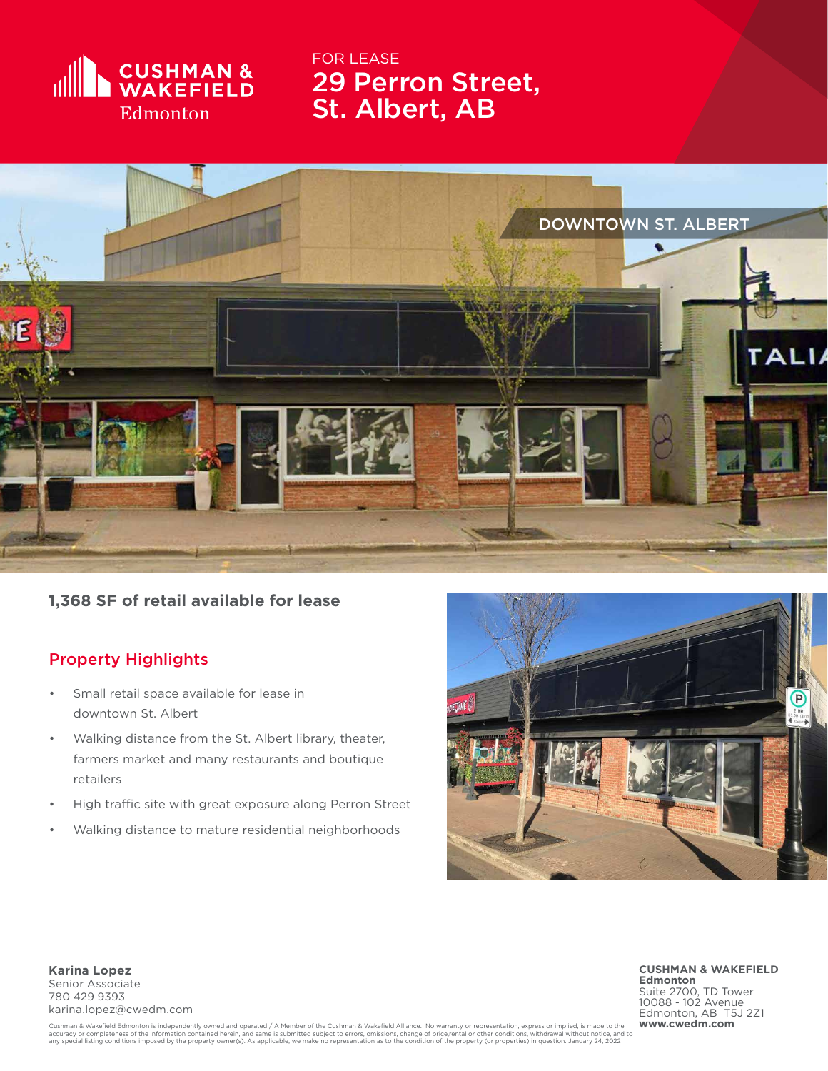

29 Perron Street, St. Albert, AB FOR LEASE



**1,368 SF of retail available for lease**

## Property Highlights

- Small retail space available for lease in downtown St. Albert
- Walking distance from the St. Albert library, theater, farmers market and many restaurants and boutique retailers
- High traffic site with great exposure along Perron Street
- Walking distance to mature residential neighborhoods



**Karina Lopez** Senior Associate 780 429 9393 karina.lopez@cwedm.com **CUSHMAN & WAKEFIELD Edmonton** Suite 2700, TD Tower 10088 - 102 Avenue Edmonton, AB T5J 2Z1<br>www.cwedm.com

Cushman & Wakefield Edmonton is independently owned and operated / A Member of the Cushman & Wakefield Alliance. No warranty or representation, express or implied, is made to the information contained herein, and same is s accuracy or completeness of the information contained herein, and same is submitted subject to errors, omissions, change of price,rental or other conditions, withdrawal without notice, and to<br>any special listing conditions